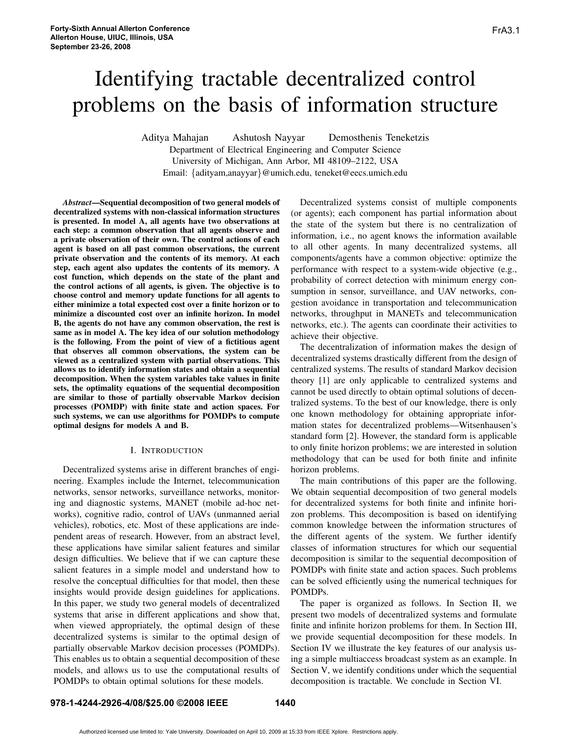# Identifying tractable decentralized control problems on the basis of information structure

Aditya Mahajan Ashutosh Nayyar Demosthenis Teneketzis Department of Electrical Engineering and Computer Science University of Michigan, Ann Arbor, MI 48109–2122, USA Email: {adityam,anayyar}@umich.edu, teneket@eecs.umich.edu

*Abstract*—Sequential decomposition of two general models of decentralized systems with non-classical information structures is presented. In model A, all agents have two observations at each step: a common observation that all agents observe and a private observation of their own. The control actions of each agent is based on all past common observations, the current private observation and the contents of its memory. At each step, each agent also updates the contents of its memory. A cost function, which depends on the state of the plant and the control actions of all agents, is given. The objective is to choose control and memory update functions for all agents to either minimize a total expected cost over a finite horizon or to minimize a discounted cost over an infinite horizon. In model B, the agents do not have any common observation, the rest is same as in model A. The key idea of our solution methodology is the following. From the point of view of a fictitious agent that observes all common observations, the system can be viewed as a centralized system with partial observations. This allows us to identify information states and obtain a sequential decomposition. When the system variables take values in finite sets, the optimality equations of the sequential decomposition are similar to those of partially observable Markov decision processes (POMDP) with finite state and action spaces. For such systems, we can use algorithms for POMDPs to compute optimal designs for models A and B.

#### I. INTRODUCTION

Decentralized systems arise in different branches of engineering. Examples include the Internet, telecommunication networks, sensor networks, surveillance networks, monitoring and diagnostic systems, MANET (mobile ad-hoc networks), cognitive radio, control of UAVs (unmanned aerial vehicles), robotics, etc. Most of these applications are independent areas of research. However, from an abstract level, these applications have similar salient features and similar design difficulties. We believe that if we can capture these salient features in a simple model and understand how to resolve the conceptual difficulties for that model, then these insights would provide design guidelines for applications. In this paper, we study two general models of decentralized systems that arise in different applications and show that, when viewed appropriately, the optimal design of these decentralized systems is similar to the optimal design of partially observable Markov decision processes (POMDPs). This enables us to obtain a sequential decomposition of these models, and allows us to use the computational results of POMDPs to obtain optimal solutions for these models.

Decentralized systems consist of multiple components (or agents); each component has partial information about the state of the system but there is no centralization of information, i.e., no agent knows the information available to all other agents. In many decentralized systems, all components/agents have a common objective: optimize the performance with respect to a system-wide objective (e.g., probability of correct detection with minimum energy consumption in sensor, surveillance, and UAV networks, congestion avoidance in transportation and telecommunication networks, throughput in MANETs and telecommunication networks, etc.). The agents can coordinate their activities to achieve their objective.

The decentralization of information makes the design of decentralized systems drastically different from the design of centralized systems. The results of standard Markov decision theory [1] are only applicable to centralized systems and cannot be used directly to obtain optimal solutions of decentralized systems. To the best of our knowledge, there is only one known methodology for obtaining appropriate information states for decentralized problems—Witsenhausen's standard form [2]. However, the standard form is applicable to only finite horizon problems; we are interested in solution methodology that can be used for both finite and infinite horizon problems.

The main contributions of this paper are the following. We obtain sequential decomposition of two general models for decentralized systems for both finite and infinite horizon problems. This decomposition is based on identifying common knowledge between the information structures of the different agents of the system. We further identify classes of information structures for which our sequential decomposition is similar to the sequential decomposition of POMDPs with finite state and action spaces. Such problems can be solved efficiently using the numerical techniques for POMDPs.

The paper is organized as follows. In Section II, we present two models of decentralized systems and formulate finite and infinite horizon problems for them. In Section III, we provide sequential decomposition for these models. In Section IV we illustrate the key features of our analysis using a simple multiaccess broadcast system as an example. In Section V, we identify conditions under which the sequential decomposition is tractable. We conclude in Section VI.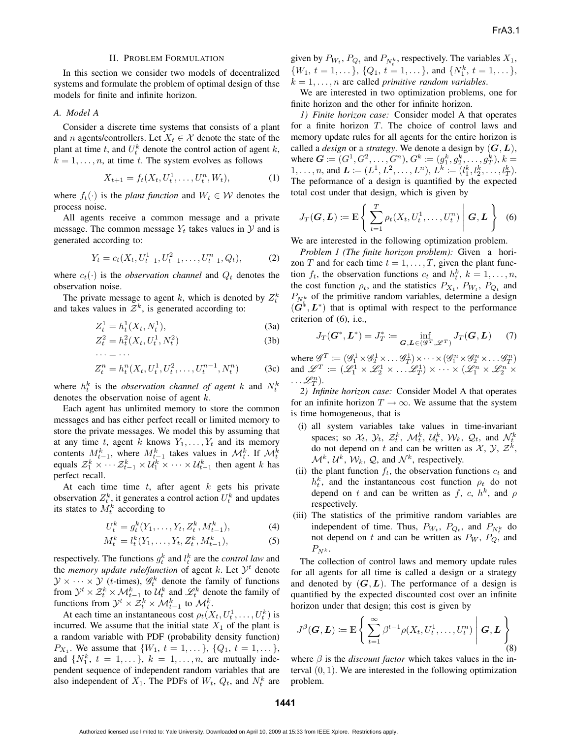#### II. PROBLEM FORMULATION

In this section we consider two models of decentralized systems and formulate the problem of optimal design of thse models for finite and infinite horizon.

# *A. Model A*

Consider a discrete time systems that consists of a plant and *n* agents/controllers. Let  $X_t \in \mathcal{X}$  denote the state of the plant at time t, and  $U_t^k$  denote the control action of agent k,  $k = 1, \ldots, n$ , at time t. The system evolves as follows

$$
X_{t+1} = f_t(X_t, U_t^1, \dots, U_t^n, W_t), \tag{1}
$$

where  $f_t(\cdot)$  is the *plant function* and  $W_t \in \mathcal{W}$  denotes the process noise.

All agents receive a common message and a private message. The common message  $Y_t$  takes values in  $Y$  and is generated according to:

$$
Y_t = c_t(X_t, U_{t-1}^1, U_{t-1}^2, \dots, U_{t-1}^n, Q_t), \tag{2}
$$

where  $c_t(\cdot)$  is the *observation channel* and  $Q_t$  denotes the observation noise.

The private message to agent k, which is denoted by  $Z_t^k$ and takes values in  $\mathcal{Z}^k$ , is generated according to:

$$
Z_t^1 = h_t^1(X_t, N_t^1),
$$
\n(3a)

$$
Z_t^2 = h_t^2(X_t, U_t^1, N_t^2)
$$
  
... = ... (3b)

$$
Z_t^n = h_t^n(X_t, U_t^1, U_t^2, \dots, U_t^{n-1}, N_t^n)
$$
 (3c)

where  $h_t^k$  is the *observation channel of agent* k and  $N_t^k$ denotes the observation noise of agent k.

Each agent has unlimited memory to store the common messages and has either perfect recall or limited memory to store the private messages. We model this by assuming that at any time t, agent k knows  $Y_1, \ldots, Y_t$  and its memory contents  $M_{t-1}^k$ , where  $M_{t-1}^k$  takes values in  $\mathcal{M}_t^k$ . If  $\mathcal{M}_t^k$  equals  $\mathcal{Z}_1^k \times \cdots \times \mathcal{Z}_{t-1}^k \times \mathcal{U}_1^k \times \cdots \times \mathcal{U}_{t-1}^k$  then agent k has perfect recall.

At each time time  $t$ , after agent  $k$  gets his private observation  $Z_t^k$ , it generates a control action  $U_t^k$  and updates its states to  $M_t^k$  according to

$$
U_t^k = g_t^k(Y_1, \dots, Y_t, Z_t^k, M_{t-1}^k), \tag{4}
$$

$$
M_t^k = l_t^k(Y_1, \dots, Y_t, Z_t^k, M_{t-1}^k), \tag{5}
$$

respectively. The functions  $g_t^k$  and  $l_t^k$  are the *control law* and the *memory update rule/function* of agent  $k$ . Let  $\mathcal{Y}^t$  denote  $\mathcal{Y} \times \cdots \times \mathcal{Y}$  (*t*-times),  $\mathcal{G}_t^k$  denote the family of functions from  $\mathcal{Y}^t \times \mathcal{Z}_t^k \times \mathcal{M}_{t-1}^k$  to  $\mathcal{U}_t^k$  and  $\mathcal{L}_t^k$  denote the family of functions from  $\mathcal{Y}^t \times \mathcal{Z}_t^k \times \mathcal{M}_{t-1}^k$  to  $\mathcal{M}_t^k$ .

At each time an instantaneous cost  $\rho_t(X_t, U_t^1, \dots, U_t^k)$  is incurred. We assume that the initial state  $X_1$  of the plant is a random variable with PDF (probability density function)  $P_{X_1}$ . We assume that  $\{W_1, t = 1, ...\}$ ,  $\{Q_1, t = 1,...\}$ , and  $\{N_1^k, t = 1, \ldots\}, k = 1, \ldots, n$ , are mutually independent sequence of independent random variables that are also independent of  $X_1$ . The PDFs of  $W_t$ ,  $Q_t$ , and  $N_t^k$  are

given by  $P_{W_t}$ ,  $P_{Q_t}$  and  $P_{N_t^k}$ , respectively. The variables  $X_1$ ,  $\{W_1, t = 1, \dots\}, \{Q_1, t = 1, \dots\}, \text{ and } \{N_1^k, t = 1, \dots\},\$  $k = 1, \ldots, n$  are called *primitive random variables*.

We are interested in two optimization problems, one for finite horizon and the other for infinite horizon.

*1) Finite horizon case:* Consider model A that operates for a finite horizon T. The choice of control laws and memory update rules for all agents for the entire horizon is called a *design* or a *strategy*. We denote a design by  $(G, L)$ , where  $\bm{G} \coloneqq (G^1, G^2, \dots, G^n), G^k \coloneqq (g^k_1, g^k_2, \dots, g^k_T), k =$ 1,..., n, and  $\mathbf{L} := (L^1, L^2, \dots, L^n), L^k := (l_1^k, l_2^k, \dots, l_T^k).$ The peformance of a design is quantified by the expected total cost under that design, which is given by

$$
J_T(\boldsymbol{G}, \boldsymbol{L}) \coloneqq \mathbb{E}\left\{ \left. \sum_{t=1}^T \rho_t(X_t, U_t^1, \dots, U_t^n) \, \right| \, \boldsymbol{G}, \boldsymbol{L} \right\} \tag{6}
$$

We are interested in the following optimization problem.

*Problem 1 (The finite horizon problem):* Given a horizon T and for each time  $t = 1, \ldots, T$ , given the plant function  $f_t$ , the observation functions  $c_t$  and  $h_t^k$ ,  $k = 1, \ldots, n$ , the cost function  $\rho_t$ , and the statistics  $P_{X_1}$ ,  $P_{W_t}$ ,  $P_{Q_t}$  and  $P_{N_t^k}$  of the primitive random variables, determine a design  $(\vec{G}^*, L^*)$  that is optimal with respect to the performance criterion of (6), i.e.,

$$
J_T(\mathbf{G}^*, \mathbf{L}^*) = J_T^* \coloneqq \inf_{\mathbf{G}, \mathbf{L} \in (\mathscr{G}^T, \mathscr{L}^T)} J_T(\mathbf{G}, \mathbf{L}) \tag{7}
$$

where  $\mathscr{G}^T := (\mathscr{G}_1^1 \times \mathscr{G}_2^1 \times \ldots \mathscr{G}_T^1) \times \cdots \times (\mathscr{G}_1^n \times \mathscr{G}_2^n \times \ldots \mathscr{G}_T^n)$ and  $\mathscr{L}^T \coloneqq (\mathscr{L}_1^1 \times \mathscr{L}_2^1 \times \ldots \mathscr{L}_T^1) \times \cdots \times (\mathscr{L}_1^n \times \mathscr{L}_2^n \times \mathscr{L}_2^n)$  $\ldots \mathscr{L}_T^n$ ).

*2) Infinite horizon case:* Consider Model A that operates for an infinite horizon  $T \to \infty$ . We assume that the system is time homogeneous, that is

- (i) all system variables take values in time-invariant spaces; so  $\mathcal{X}_t$ ,  $\mathcal{Y}_t$ ,  $\mathcal{Z}_t^k$ ,  $\mathcal{M}_t^k$ ,  $\mathcal{U}_t^k$ ,  $\mathcal{W}_k$ ,  $\mathcal{Q}_t$ , and  $\mathcal{N}_t^k$ do not depend on t and can be written as  $\mathcal{X}, \mathcal{Y}, \mathcal{Z}^k$ ,  $\mathcal{M}^k$ ,  $\mathcal{U}^k$ ,  $\mathcal{W}_k$ ,  $\mathcal{Q}$ , and  $\mathcal{N}^k$ , respectively.
- (ii) the plant function  $f_t$ , the observation functions  $c_t$  and  $h_t^k$ , and the instantaneous cost function  $\rho_t$  do not depend on t and can be written as f, c,  $h^k$ , and  $\rho$ respectively.
- (iii) The statistics of the primitive random variables are independent of time. Thus,  $P_{W_t}$ ,  $P_{Q_t}$ , and  $P_{N_t^k}$  do not depend on t and can be written as  $P_W$ ,  $P_Q$ , and  $P_{N^k}.$

The collection of control laws and memory update rules for all agents for all time is called a design or a strategy and denoted by  $(G, L)$ . The performance of a design is quantified by the expected discounted cost over an infinite horizon under that design; this cost is given by

$$
J^{\beta}(\boldsymbol{G},\boldsymbol{L}) \coloneqq \mathbb{E}\left\{ \left. \sum_{t=1}^{\infty} \beta^{t-1} \rho(X_t, U_t^1, \dots, U_t^n) \, \right| \, \boldsymbol{G}, \boldsymbol{L} \right\}_{(8)}
$$

where  $\beta$  is the *discount factor* which takes values in the interval  $(0, 1)$ . We are interested in the following optimization problem.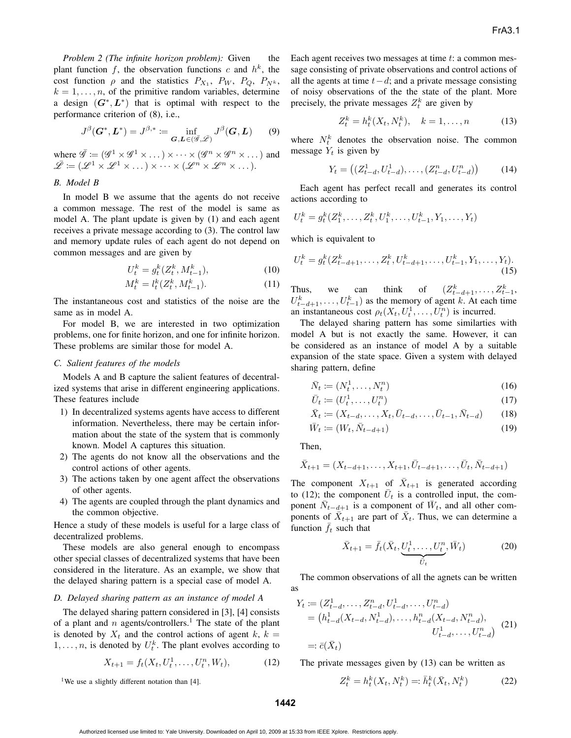*Problem 2 (The infinite horizon problem):* Given the plant function f, the observation functions c and  $h^k$ , the cost function  $\rho$  and the statistics  $P_{X_1}$ ,  $P_W$ ,  $P_Q$ ,  $P_{N^k}$ ,  $k = 1, \ldots, n$ , of the primitive random variables, determine a design  $(G^*, L^*)$  that is optimal with respect to the performance criterion of (8), i.e.,

$$
J^{\beta}(\mathbf{G}^*, \mathbf{L}^*) = J^{\beta,*} := \inf_{\mathbf{G}, \mathbf{L} \in (\bar{\mathscr{G}}, \bar{\mathscr{L}})} J^{\beta}(\mathbf{G}, \mathbf{L}) \qquad (9)
$$

where  $\overline{\mathscr{G}} := (\mathscr{G}^1 \times \mathscr{G}^1 \times \ldots) \times \cdots \times (\mathscr{G}^n \times \mathscr{G}^n \times \ldots)$  and  $\overline{\mathscr{L}} := (\mathscr{L}^1 \times \mathscr{L}^1 \times ...) \times \cdots \times (\mathscr{L}^n \times \mathscr{L}^n \times \cdots).$ 

# *B. Model B*

In model B we assume that the agents do not receive a common message. The rest of the model is same as model A. The plant update is given by (1) and each agent receives a private message according to (3). The control law and memory update rules of each agent do not depend on common messages and are given by

$$
U_t^k = g_t^k(Z_t^k, M_{t-1}^k),\tag{10}
$$

$$
M_t^k = l_t^k(Z_t^k, M_{t-1}^k). \tag{11}
$$

The instantaneous cost and statistics of the noise are the same as in model A.

For model B, we are interested in two optimization problems, one for finite horizon, and one for infinite horizon. These problems are similar those for model A.

# *C. Salient features of the models*

Models A and B capture the salient features of decentralized systems that arise in different engineering applications. These features include

- 1) In decentralized systems agents have access to different information. Nevertheless, there may be certain information about the state of the system that is commonly known. Model A captures this situation.
- 2) The agents do not know all the observations and the control actions of other agents.
- 3) The actions taken by one agent affect the observations of other agents.
- 4) The agents are coupled through the plant dynamics and the common objective.

Hence a study of these models is useful for a large class of decentralized problems.

These models are also general enough to encompass other special classes of decentralized systems that have been considered in the literature. As an example, we show that the delayed sharing pattern is a special case of model A.

#### *D. Delayed sharing pattern as an instance of model A*

The delayed sharing pattern considered in [3], [4] consists of a plant and n agents/controllers.<sup>1</sup> The state of the plant is denoted by  $X_t$  and the control actions of agent k,  $k =$  $1, \ldots, n$ , is denoted by  $U_t^k$ . The plant evolves according to

$$
X_{t+1} = f_t(X_t, U_t^1, \dots, U_t^n, W_t), \tag{12}
$$

<sup>1</sup>We use a slightly different notation than [4].

Each agent receives two messages at time  $t$ : a common message consisting of private observations and control actions of all the agents at time  $t-d$ ; and a private message consisting of noisy observations of the the state of the plant. More precisely, the private messages  $Z_t^k$  are given by

$$
Z_t^k = h_t^k(X_t, N_t^k), \quad k = 1, \dots, n \tag{13}
$$

where  $N_t^k$  denotes the observation noise. The common message  $Y_t$  is given by

$$
Y_t = \left( (Z_{t-d}^1, U_{t-d}^1), \dots, (Z_{t-d}^n, U_{t-d}^n) \right) \tag{14}
$$

Each agent has perfect recall and generates its control actions according to

$$
U_t^k = g_t^k(Z_1^k, \dots, Z_t^k, U_1^k, \dots, U_{t-1}^k, Y_1, \dots, Y_t)
$$

which is equivalent to

$$
U_t^k = g_t^k(Z_{t-d+1}^k, \dots, Z_t^k, U_{t-d+1}^k, \dots, U_{t-1}^k, Y_1, \dots, Y_t).
$$
\n(15)

Thus, we can think of  $(Z_{t-d+1}^k, \ldots, Z_{t-1}^k,$  $U_{t-d+1}^k, \ldots, U_{t-1}^k$  as the memory of agent k. At each time an instantaneous cost  $\rho_t(X_t, U_t^1, \ldots, U_t^n)$  is incurred.

The delayed sharing pattern has some similarties with model A but is not exactly the same. However, it can be considered as an instance of model A by a suitable expansion of the state space. Given a system with delayed sharing pattern, define

$$
\bar{N}_t := (N_t^1, \dots, N_t^n) \tag{16}
$$

$$
\bar{U}_t := (U_t^1, \dots, U_t^n) \tag{17}
$$

$$
\bar{X}_t := (X_{t-d}, \dots, X_t, \bar{U}_{t-d}, \dots, \bar{U}_{t-1}, \bar{N}_{t-d})
$$
 (18)

$$
\bar{W}_t := (W_t, \bar{N}_{t-d+1}) \tag{19}
$$

Then,

$$
\bar{X}_{t+1} = (X_{t-d+1}, \dots, X_{t+1}, \bar{U}_{t-d+1}, \dots, \bar{U}_t, \bar{N}_{t-d+1})
$$

The component  $X_{t+1}$  of  $\overline{X}_{t+1}$  is generated according to (12); the component  $\bar{U}_t$  is a controlled input, the component  $\overline{N}_{t-d+1}$  is a component of  $\overline{W}_t$ , and all other components of  $\overline{X}_{t+1}$  are part of  $\overline{X}_t$ . Thus, we can determine a function  $\bar{f}_t$  such that

$$
\bar{X}_{t+1} = \bar{f}_t(\bar{X}_t, \underbrace{U_t^1, \dots, U_t^n}_{\bar{U}_t}, \bar{W}_t)
$$
\n(20)

The common observations of all the agnets can be written as

$$
Y_t := (Z_{t-d}^1, \dots, Z_{t-d}^n, U_{t-d}^1, \dots, U_{t-d}^n)
$$
  
=  $(h_{t-d}^1(X_{t-d}, N_{t-d}^1), \dots, h_{t-d}^n(X_{t-d}, N_{t-d}^n),$   

$$
U_{t-d}^1, \dots, U_{t-d}^n)
$$
 (21)  
=:  $\bar{c}(\bar{X}_t)$ 

The private messages given by (13) can be written as

$$
Z_t^k = h_t^k(X_t, N_t^k) =: \bar{h}_t^k(\bar{X}_t, N_t^k)
$$
\n(22)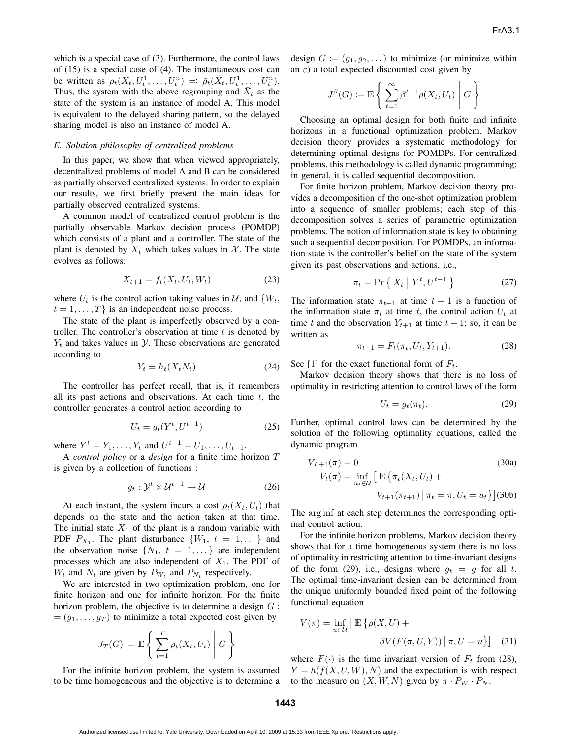which is a special case of  $(3)$ . Furthermore, the control laws of (15) is a special case of (4). The instantaneous cost can be written as  $\rho_t(X_t, U_t^1, \dots, U_t^n) =: \bar{\rho}_t(\bar{X}_t, U_t^1, \dots, U_t^n)$ . Thus, the system with the above regrouping and  $\bar{X}_t$  as the state of the system is an instance of model A. This model is equivalent to the delayed sharing pattern, so the delayed sharing model is also an instance of model A.

### *E. Solution philosophy of centralized problems*

In this paper, we show that when viewed appropriately, decentralized problems of model A and B can be considered as partially observed centralized systems. In order to explain our results, we first briefly present the main ideas for partially observed centralized systems.

A common model of centralized control problem is the partially observable Markov decision process (POMDP) which consists of a plant and a controller. The state of the plant is denoted by  $X_t$  which takes values in X. The state evolves as follows:

$$
X_{t+1} = f_t(X_t, U_t, W_t)
$$
 (23)

where  $U_t$  is the control action taking values in  $\mathcal{U}$ , and  $\{W_t,$  $t = 1, \ldots, T$  is an independent noise process.

The state of the plant is imperfectly observed by a controller. The controller's observation at time  $t$  is denoted by  $Y_t$  and takes values in  $\mathcal Y$ . These observations are generated according to

$$
Y_t = h_t(X_t N_t) \tag{24}
$$

The controller has perfect recall, that is, it remembers all its past actions and observations. At each time  $t$ , the controller generates a control action according to

$$
U_t = g_t(Y^t, U^{t-1})
$$
 (25)

where  $Y^t = Y_1, ..., Y_t$  and  $U^{t-1} = U_1, ..., U_{t-1}$ .

A *control policy* or a *design* for a finite time horizon T is given by a collection of functions :

$$
g_t: \mathcal{Y}^t \times \mathcal{U}^{t-1} \to \mathcal{U}
$$
 (26)

At each instant, the system incurs a cost  $\rho_t(X_t, U_t)$  that depends on the state and the action taken at that time. The initial state  $X_1$  of the plant is a random variable with PDF  $P_{X_1}$ . The plant disturbance  $\{W_1, t = 1, ...\}$  and the observation noise  $\{N_1, t = 1, ...\}$  are independent processes which are also independent of  $X_1$ . The PDF of  $W_t$  and  $N_t$  are given by  $P_{W_t}$  and  $P_{N_t}$  respectively.

We are interested in two optimization problem, one for finite horizon and one for infinite horizon. For the finite horizon problem, the objective is to determine a design  $G$ :  $=(g_1,\ldots,g_T)$  to minimize a total expected cost given by

$$
J_T(G) \coloneqq \mathbb{E}\left\{\left.\sum_{t=1}^T \rho_t(X_t, U_t)\right| G\right\}
$$

For the infinite horizon problem, the system is assumed to be time homogeneous and the objective is to determine a design  $G := (g_1, g_2, \dots)$  to minimize (or minimize within an  $\varepsilon$ ) a total expected discounted cost given by

$$
J^{\beta}(G) := \mathbb{E}\left\{ \left. \sum_{t=1}^{\infty} \beta^{t-1} \rho(X_t, U_t) \right| G \right\}
$$

Choosing an optimal design for both finite and infinite horizons in a functional optimization problem. Markov decision theory provides a systematic methodology for determining optimal designs for POMDPs. For centralized problems, this methodology is called dynamic programming; in general, it is called sequential decomposition.

For finite horizon problem, Markov decision theory provides a decomposition of the one-shot optimization problem into a sequence of smaller problems; each step of this decomposition solves a series of parametric optimization problems. The notion of information state is key to obtaining such a sequential decomposition. For POMDPs, an information state is the controller's belief on the state of the system given its past observations and actions, i.e.,

$$
\pi_t = \Pr\left\{ \left| X_t \right| Y^t, U^{t-1} \right\} \tag{27}
$$

The information state  $\pi_{t+1}$  at time  $t + 1$  is a function of the information state  $\pi_t$  at time t, the control action  $U_t$  at time t and the observation  $Y_{t+1}$  at time  $t + 1$ ; so, it can be written as

$$
\pi_{t+1} = F_t(\pi_t, U_t, Y_{t+1}).\tag{28}
$$

See [1] for the exact functional form of  $F_t$ .

Markov decision theory shows that there is no loss of optimality in restricting attention to control laws of the form

$$
U_t = g_t(\pi_t). \tag{29}
$$

Further, optimal control laws can be determined by the solution of the following optimality equations, called the dynamic program

$$
V_{T+1}(\pi) = 0
$$
 (30a)  

$$
V_t(\pi) = \inf_{u_t \in \mathcal{U}} \left[ \mathbb{E} \left\{ \pi_t(X_t, U_t) + V_{t+1}(\pi_{t+1}) \, \middle| \, \pi_t = \pi, U_t = u_t \right\} \right]
$$
 (30b)

The arg inf at each step determines the corresponding optimal control action.

For the infinite horizon problems, Markov decision theory shows that for a time homogeneous system there is no loss of optimality in restricting attention to time-invariant designs of the form (29), i.e., designs where  $g_t = g$  for all t. The optimal time-invariant design can be determined from the unique uniformly bounded fixed point of the following functional equation

$$
V(\pi) = \inf_{u \in \mathcal{U}} \left[ \mathbb{E} \left\{ \rho(X, U) + \beta V(F(\pi, U, Y)) \, \middle| \, \pi, U = u \right\} \right] \tag{31}
$$

where  $F(\cdot)$  is the time invariant version of  $F_t$  from (28),  $Y = h(f(X, U, W), N)$  and the expectation is with respect to the measure on  $(X, W, N)$  given by  $\pi \cdot P_W \cdot P_N$ .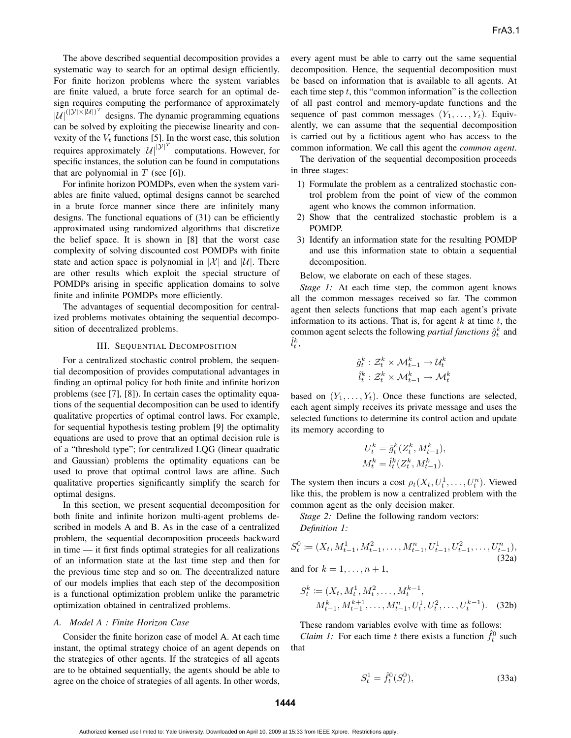The above described sequential decomposition provides a systematic way to search for an optimal design efficiently. For finite horizon problems where the system variables are finite valued, a brute force search for an optimal design requires computing the performance of approximately  $|\mathcal{U}|^{(|\mathcal{Y}| \times |\mathcal{U}|)^T}$  designs. The dynamic programming equations can be solved by exploiting the piecewise linearity and convexity of the  $V_t$  functions [5]. In the worst case, this solution requires approximately  $|\mathcal{U}|^{|\mathcal{Y}|^T}$  computations. However, for specific instances, the solution can be found in computations that are polynomial in  $T$  (see [6]).

For infinite horizon POMDPs, even when the system variables are finite valued, optimal designs cannot be searched in a brute force manner since there are infinitely many designs. The functional equations of (31) can be efficiently approximated using randomized algorithms that discretize the belief space. It is shown in [8] that the worst case complexity of solving discounted cost POMDPs with finite state and action space is polynomial in  $|\mathcal{X}|$  and  $|\mathcal{U}|$ . There are other results which exploit the special structure of POMDPs arising in specific application domains to solve finite and infinite POMDPs more efficiently.

The advantages of sequential decomposition for centralized problems motivates obtaining the sequential decomposition of decentralized problems.

#### III. SEQUENTIAL DECOMPOSITION

For a centralized stochastic control problem, the sequential decomposition of provides computational advantages in finding an optimal policy for both finite and infinite horizon problems (see [7], [8]). In certain cases the optimality equations of the sequential decomposition can be used to identify qualitative properties of optimal control laws. For example, for sequential hypothesis testing problem [9] the optimality equations are used to prove that an optimal decision rule is of a "threshold type"; for centralized LQG (linear quadratic and Gaussian) problems the optimality equations can be used to prove that optimal control laws are affine. Such qualitative properties significantly simplify the search for optimal designs.

In this section, we present sequential decomposition for both finite and infinite horizon multi-agent problems described in models A and B. As in the case of a centralized problem, the sequential decomposition proceeds backward in time — it first finds optimal strategies for all realizations of an information state at the last time step and then for the previous time step and so on. The decentralized nature of our models implies that each step of the decomposition is a functional optimization problem unlike the parametric optimization obtained in centralized problems.

#### *A. ModelA:Finite Horizon Case*

Consider the finite horizon case of model A. At each time instant, the optimal strategy choice of an agent depends on the strategies of other agents. If the strategies of all agents are to be obtained sequentially, the agents should be able to agree on the choice of strategies of all agents. In other words, every agent must be able to carry out the same sequential decomposition. Hence, the sequential decomposition must be based on information that is available to all agents. At each time step  $t$ , this "common information" is the collection of all past control and memory-update functions and the sequence of past common messages  $(Y_1, \ldots, Y_t)$ . Equivalently, we can assume that the sequential decomposition is carried out by a fictitious agent who has access to the common information. We call this agent the *common agent*.

The derivation of the sequential decomposition proceeds in three stages:

- 1) Formulate the problem as a centralized stochastic control problem from the point of view of the common agent who knows the common information.
- 2) Show that the centralized stochastic problem is a POMDP.
- 3) Identify an information state for the resulting POMDP and use this information state to obtain a sequential decomposition.

Below, we elaborate on each of these stages.

*Stage 1:* At each time step, the common agent knows all the common messages received so far. The common agent then selects functions that map each agent's private information to its actions. That is, for agent  $k$  at time  $t$ , the common agent selects the following *partial functions*  $\hat{g}_t^k$  and  $\hat{l}^k_t,$ 

$$
\hat{g}_t^k : \mathcal{Z}_t^k \times \mathcal{M}_{t-1}^k \to \mathcal{U}_t^k
$$

$$
\hat{l}_t^k : \mathcal{Z}_t^k \times \mathcal{M}_{t-1}^k \to \mathcal{M}_t^k
$$

based on  $(Y_1, \ldots, Y_t)$ . Once these functions are selected, each agent simply receives its private message and uses the selected functions to determine its control action and update its memory according to

$$
U_t^k = \hat{g}_t^k(Z_t^k, M_{t-1}^k),
$$
  

$$
M_t^k = \hat{l}_t^k(Z_t^k, M_{t-1}^k).
$$

The system then incurs a cost  $\rho_t(X_t, U_t^1, \ldots, U_t^n)$ . Viewed like this, the problem is now a centralized problem with the common agent as the only decision maker.

*Stage 2:* Define the following random vectors: *Definition 1:*

$$
S_t^0 := (X_t, M_{t-1}^1, M_{t-1}^2, \dots, M_{t-1}^n, U_{t-1}^1, U_{t-1}^2, \dots, U_{t-1}^n),
$$
\n(32a)

and for  $k = 1, ..., n + 1$ ,

$$
S_t^k := (X_t, M_t^1, M_t^2, \dots, M_t^{k-1},
$$
  

$$
M_{t-1}^k, M_{t-1}^{k+1}, \dots, M_{t-1}^n, U_t^1, U_t^2, \dots, U_t^{k-1}).
$$
 (32b)

These random variables evolve with time as follows:

*Claim 1:* For each time t there exists a function  $\hat{f}_t^0$  such that

$$
S_t^1 = \hat{f}_t^0(S_t^0), \tag{33a}
$$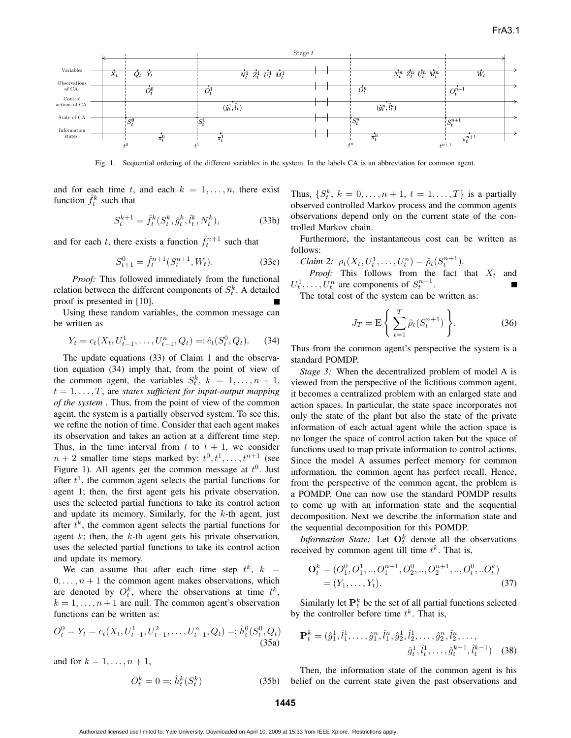

Fig. 1. Sequential ordering of the different variables in the system. In the labels CA is an abbreviation for common agent.

and for each time t, and each  $k = 1, \ldots, n$ , there exist function  $\hat{f}_t^k$  such that

$$
S_t^{k+1} = \hat{f}_t^k(S_t^k, \hat{g}_t^k, \hat{l}_t^k, N_t^k), \tag{33b}
$$

and for each t, there exists a function  $\hat{f}_t^{n+1}$  such that

$$
S_{t+1}^0 = \hat{f}_t^{n+1}(S_t^{n+1}, W_t). \tag{33c}
$$

*Proof:* This followed immediately from the functional relation between the different components of  $S_t^k$ . A detailed proof is presented in [10].

Using these random variables, the common message can be written as

$$
Y_t = c_t(X_t, U_{t-1}^1, \dots, U_{t-1}^n, Q_t) = \hat{c}_t(S_t^0, Q_t).
$$
 (34)

The update equations (33) of Claim 1 and the observation equation (34) imply that, from the point of view of the common agent, the variables  $S_t^k$ ,  $k = 1, ..., n + 1$ ,  $t = 1, \ldots, T$ , are *states sufficient for input-output mapping of the system* . Thus, from the point of view of the common agent, the system is a partially observed system. To see this, we refine the notion of time. Consider that each agent makes its observation and takes an action at a different time step. Thus, in the time interval from t to  $t + 1$ , we consider  $n+2$  smaller time steps marked by:  $t^0, t^1, \ldots, t^{n+1}$  (see Figure 1). All agents get the common message at  $t^0$ . Just after  $t<sup>1</sup>$ , the common agent selects the partial functions for agent 1; then, the first agent gets his private observation, uses the selected partial functions to take its control action and update its memory. Similarly, for the  $k$ -th agent, just after  $t^k$ , the common agent selects the partial functions for agent  $k$ ; then, the  $k$ -th agent gets his private observation, uses the selected partial functions to take its control action and update its memory.

We can assume that after each time step  $t^k$ ,  $k =$  $0, \ldots, n + 1$  the common agent makes observations, which are denoted by  $O_t^k$ , where the observations at time  $t^k$ ,  $k = 1, \ldots, n + 1$  are null. The common agent's observation functions can be written as:

$$
O_t^0 = Y_t = c_t(X_t, U_{t-1}^1, U_{t-1}^2, \dots, U_{t-1}^n, Q_t) =: \hat{h}_t^0(S_t^0, Q_t)
$$
\n(35a)

and for  $k = 1, \ldots, n + 1$ ,

$$
O_t^k = 0 =: \hat{h}_t^k(S_t^k)
$$
\n(35b)

Thus,  $\{S_t^k, k = 0, ..., n + 1, t = 1, ..., T\}$  is a partially observed controlled Markov process and the common agents observations depend only on the current state of the controlled Markov chain.

Furthermore, the instantaneous cost can be written as follows:

*Claim 2:*  $\rho_t(X_t, U_t^1, \dots, U_t^n) = \hat{\rho}_t(S_t^{n+1}).$ 

*Proof:* This follows from the fact that  $X_t$  and  $U_t^1, \ldots, U_t^n$  are components of  $S_t^{n+1}$ .

The total cost of the system can be written as:

$$
J_T = \mathbb{E}\left\{\sum_{t=1}^T \hat{\rho}_t(S_t^{n+1})\right\}.
$$
 (36)

Thus from the common agent's perspective the system is a standard POMDP.

*Stage 3:* When the decentralized problem of model A is viewed from the perspective of the fictitious common agent, it becomes a centralized problem with an enlarged state and action spaces. In particular, the state space incorporates not only the state of the plant but also the state of the private information of each actual agent while the action space is no longer the space of control action taken but the space of functions used to map private information to control actions. Since the model A assumes perfect memory for common information, the common agent has perfect recall. Hence, from the perspective of the common agent, the problem is a POMDP. One can now use the standard POMDP results to come up with an information state and the sequential decomposition. Next we describe the information state and the sequential decomposition for this POMDP.

*Information State:* Let  $O_t^k$  denote all the observations received by common agent till time  $t^k$ . That is,

$$
\mathbf{O}_{t}^{k} = (O_{1}^{0}, O_{1}^{1}, \dots, O_{1}^{n+1}, O_{2}^{0}, \dots, O_{2}^{n+1}, \dots, O_{t}^{0}, \dots, O_{t}^{k})
$$
  
= (Y<sub>1</sub>, ..., Y<sub>t</sub>). (37)

Similarly let  $\mathbf{P}_t^k$  be the set of all partial functions selected by the controller before time  $t^k$ . That is,

$$
\mathbf{P}_t^k = (\hat{g}_1^1, \hat{l}_1^1, \dots, \hat{g}_1^n, \hat{l}_1^n, \hat{g}_2^1, \hat{l}_2^1, \dots, \hat{g}_2^n, \hat{l}_2^n, \dots, \hat{g}_t^1, \hat{l}_t^1, \dots, \hat{g}_t^{k-1}, \hat{l}_t^{k-1})
$$
 (38)

Then, the information state of the common agent is his belief on the current state given the past observations and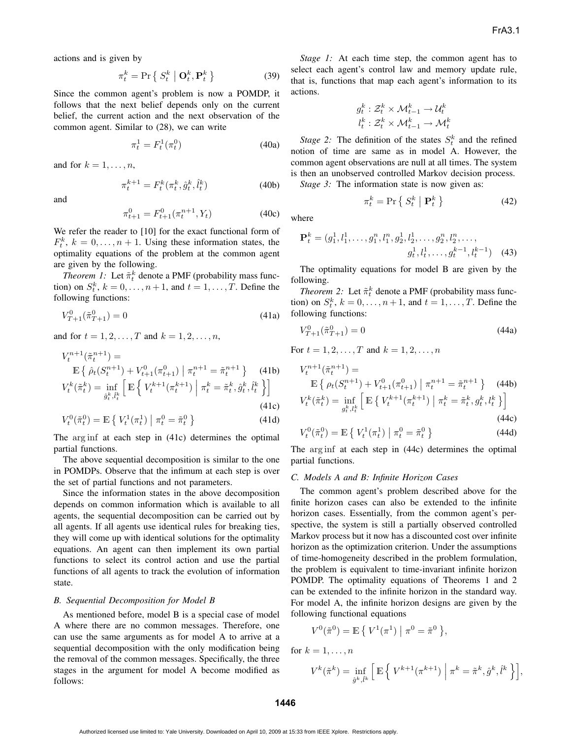actions and is given by

$$
\pi_t^k = \Pr\left\{ S_t^k \mid \mathbf{O}_t^k, \mathbf{P}_t^k \right\} \tag{39}
$$

Since the common agent's problem is now a POMDP, it follows that the next belief depends only on the current belief, the current action and the next observation of the common agent. Similar to (28), we can write

$$
\pi_t^1 = F_t^1(\pi_t^0) \tag{40a}
$$

and for  $k = 1, \ldots, n$ ,

$$
\pi_t^{k+1} = F_t^k(\pi_t^k, \hat{g}_t^k, \hat{l}_t^k)
$$
\n(40b)

and

$$
\pi_{t+1}^0 = F_{t+1}^0(\pi_t^{n+1}, Y_t) \tag{40c}
$$

We refer the reader to [10] for the exact functional form of  $F_t^k$ ,  $k = 0, \ldots, n + 1$ . Using these information states, the optimality equations of the problem at the common agent are given by the following.

*Theorem 1:* Let  $\tilde{\pi}_t^k$  denote a PMF (probability mass function) on  $S_t^k$ ,  $k = 0, \ldots, n + 1$ , and  $t = 1, \ldots, T$ . Define the following functions:

$$
V_{T+1}^0(\tilde{\pi}_{T+1}^0) = 0\tag{41a}
$$

and for  $t = 1, 2, ..., T$  and  $k = 1, 2, ..., n$ ,

$$
V_t^{n+1}(\tilde{\pi}_t^{n+1}) =
$$
  
\n
$$
\mathbb{E}\left\{\hat{\rho}_t(S_t^{n+1}) + V_{t+1}^0(\pi_{t+1}^0) \mid \pi_t^{n+1} = \tilde{\pi}_t^{n+1}\right\}
$$
 (41b)  
\n
$$
V_t^k(\tilde{\pi}_t^k) = \inf_{\hat{g}_t^k, \hat{l}_t^k} \left[\mathbb{E}\left\{V_t^{k+1}(\pi_t^{k+1}) \mid \pi_t^k = \tilde{\pi}_t^k, \hat{g}_t^k, \hat{l}_t^k\right\}\right]
$$
  
\n(41c)  
\n
$$
V_t^0(\tilde{\pi}_t^0) = \mathbb{E}\left\{V_t^1(\pi_t^1) \mid \pi_t^0 = \tilde{\pi}_t^0\right\}
$$
 (41d)

The arg inf at each step in (41c) determines the optimal partial functions.

The above sequential decomposition is similar to the one in POMDPs. Observe that the infimum at each step is over the set of partial functions and not parameters.

Since the information states in the above decomposition depends on common information which is available to all agents, the sequential decomposition can be carried out by all agents. If all agents use identical rules for breaking ties, they will come up with identical solutions for the optimality equations. An agent can then implement its own partial functions to select its control action and use the partial functions of all agents to track the evolution of information state.

# *B. Sequential Decomposition for Model B*

As mentioned before, model B is a special case of model A where there are no common messages. Therefore, one can use the same arguments as for model A to arrive at a sequential decomposition with the only modification being the removal of the common messages. Specifically, the three stages in the argument for model A become modified as follows:

*Stage 1:* At each time step, the common agent has to select each agent's control law and memory update rule, that is, functions that map each agent's information to its actions.

$$
g_t^k: \mathcal{Z}_t^k \times \mathcal{M}_{t-1}^k \to \mathcal{U}_t^k
$$

$$
l_t^k: \mathcal{Z}_t^k \times \mathcal{M}_{t-1}^k \to \mathcal{M}_t^k
$$

*Stage 2:* The definition of the states  $S_t^k$  and the refined notion of time are same as in model A. However, the common agent observations are null at all times. The system is then an unobserved controlled Markov decision process.

*Stage 3:* The information state is now given as:

$$
\pi_t^k = \Pr\left\{ S_t^k \mid \mathbf{P}_t^k \right\} \tag{42}
$$

where

$$
\mathbf{P}_t^k = (g_1^1, l_1^1, \dots, g_1^n, l_1^n, g_2^1, l_2^1, \dots, g_2^n, l_2^n, \dots, g_t^1, l_t^1, \dots, g_t^{k-1}, l_t^{k-1}) \quad (43)
$$

The optimality equations for model B are given by the following.

*Theorem 2:* Let  $\tilde{\pi}_t^k$  denote a PMF (probability mass function) on  $S_t^k$ ,  $k = 0, \ldots, n + 1$ , and  $t = 1, \ldots, T$ . Define the following functions:

$$
V_{T+1}^0(\tilde{\pi}_{T+1}^0) = 0\tag{44a}
$$

For  $t = 1, 2, ..., T$  and  $k = 1, 2, ..., n$ 

$$
V_t^{n+1}(\tilde{\pi}_t^{n+1}) =
$$
  
\n
$$
\mathbb{E}\left\{\rho_t(S_t^{n+1}) + V_{t+1}^0(\pi_{t+1}^0) \mid \pi_t^{n+1} = \tilde{\pi}_t^{n+1}\right\}
$$
 (44b)  
\n
$$
V_t^k(\tilde{\pi}_t^k) = \inf_{g_t^k, l_t^k} \left[\mathbb{E}\left\{V_t^{k+1}(\pi_t^{k+1}) \mid \pi_t^k = \tilde{\pi}_t^k, g_t^k, l_t^k\right\}\right]
$$
 (44c)

$$
V_t^0(\tilde{\pi}_t^0) = \mathbb{E}\left\{ V_t^1(\pi_t^1) \middle| \pi_t^0 = \tilde{\pi}_t^0 \right\} \tag{44d}
$$

The arg inf at each step in (44c) determines the optimal partial functions.

# *C. Models A and B: Infinite Horizon Cases*

The common agent's problem described above for the finite horizon cases can also be extended to the infinite horizon cases. Essentially, from the common agent's perspective, the system is still a partially observed controlled Markov process but it now has a discounted cost over infinite horizon as the optimization criterion. Under the assumptions of time-homogeneity described in the problem formulation, the problem is equivalent to time-invariant infinite horizon POMDP. The optimality equations of Theorems 1 and 2 can be extended to the infinite horizon in the standard way. For model A, the infinite horizon designs are given by the following functional equations

$$
V^{0}(\tilde{\pi}^{0}) = \mathbb{E}\left\{ V^{1}(\pi^{1}) \mid \pi^{0} = \tilde{\pi}^{0} \right\},\
$$

for  $k = 1, \ldots, n$ 

$$
V^k(\tilde{\pi}^k) = \inf_{\hat{g}^k, \hat{l}^k} \left[ \mathbb{E} \left\{ V^{k+1}(\pi^{k+1}) \middle| \pi^k = \tilde{\pi}^k, \hat{g}^k, \hat{l}^k \right\} \right],
$$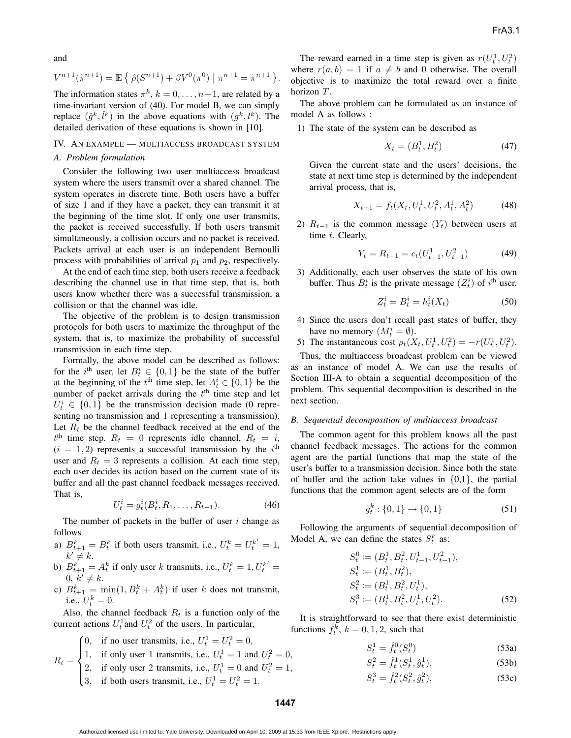and

$$
V^{n+1}(\tilde{\pi}^{n+1}) = \mathbb{E}\left\{\ \hat{\rho}(S^{n+1}) + \beta V^0(\pi^0) \ \middle| \ \pi^{n+1} = \tilde{\pi}^{n+1} \right\}.
$$

The information states  $\pi^k$ ,  $k = 0, \ldots, n+1$ , are related by a time-invariant version of (40). For model B, we can simply replace  $(\hat{g}^k, \hat{l}^k)$  in the above equations with  $(g^k, l^k)$ . The detailed derivation of these equations is shown in [10].

# IV. AN EXAMPLE — MULTIACCESS BROADCAST SYSTEM *A. Problem formulation*

Consider the following two user multiaccess broadcast system where the users transmit over a shared channel. The system operates in discrete time. Both users have a buffer of size 1 and if they have a packet, they can transmit it at the beginning of the time slot. If only one user transmits, the packet is received successfully. If both users transmit simultaneously, a collision occurs and no packet is received. Packets arrival at each user is an independent Bernoulli process with probabilities of arrival  $p_1$  and  $p_2$ , respectively.

At the end of each time step, both users receive a feedback describing the channel use in that time step, that is, both users know whether there was a successful transmission, a collision or that the channel was idle.

The objective of the problem is to design transmission protocols for both users to maximize the throughput of the system, that is, to maximize the probability of successful transmission in each time step.

Formally, the above model can be described as follows: for the i<sup>th</sup> user, let  $B_t^i \in \{0, 1\}$  be the state of the buffer at the beginning of the  $t^{\text{th}}$  time step, let  $A_t^i \in \{0, 1\}$  be the number of packet arrivals during the  $t<sup>th</sup>$  time step and let  $U_t^i \in \{0, 1\}$  be the transmission decision made (0 representing no transmission and 1 representing a transmission). Let  $R_t$  be the channel feedback received at the end of the  $t^{\text{th}}$  time step.  $R_t = 0$  represents idle channel,  $R_t = i$ ,  $(i = 1, 2)$  represents a successful transmission by the  $i<sup>th</sup>$ user and  $R_t = 3$  represents a collision. At each time step, each user decides its action based on the current state of its buffer and all the past channel feedback messages received. That is,

$$
U_t^i = g_t^i(B_t^i, R_1, \dots, R_{t-1}).
$$
\n(46)

The number of packets in the buffer of user  $i$  change as follows

- a)  $B_{t+1}^k = B_t^k$  if both users transmit, i.e.,  $U_t^k = U_t^{k'} = 1$ ,  $k' \neq k$ .
- b)  $B_{t+1}^k = A_t^k$  if only user k transmits, i.e.,  $U_t^k = 1, U_t^{k'} =$  $0, k' \neq k.$
- c)  $B_{t+1}^k = \min(1, B_t^k + A_t^k)$  if user k does not transmit, i.e.,  $U_t^k = 0$ .

Also, the channel feedback  $R_t$  is a function only of the current actions  $U_t^1$  and  $U_t^2$  of the users. In particular,

 $\int 0$ , if no user transmits, i.e.,  $U_t^1 = U_t^2 = 0$ ,

$$
R_t = \begin{cases} 0, & \text{if only user 1 transmits, i.e., } U_t^1 = 1 \text{ and } U_t^2 = 0, \\ 2, & \text{if only user 2 transmits, i.e., } U_t^1 = 0 \text{ and } U_t^2 = 1, \\ 3, & \text{if both users transmit, i.e., } U_t^1 = U_t^2 = 1. \end{cases}
$$

The reward earned in a time step is given as  $r(U_t^1, U_t^2)$ where  $r(a, b) = 1$  if  $a \neq b$  and 0 otherwise. The overall objective is to maximize the total reward over a finite horizon T.

The above problem can be formulated as an instance of model A as follows :

1) The state of the system can be described as

$$
X_t = (B_t^1, B_t^2) \tag{47}
$$

Given the current state and the users' decisions, the state at next time step is determined by the independent arrival process, that is,

$$
X_{t+1} = f_t(X_t, U_t^1, U_t^2, A_t^1, A_t^2)
$$
 (48)

2)  $R_{t-1}$  is the common message  $(Y_t)$  between users at time t. Clearly,

$$
Y_t = R_{t-1} = c_t (U_{t-1}^1, U_{t-1}^2)
$$
 (49)

3) Additionally, each user observes the state of his own buffer. Thus  $B_t^i$  is the private message  $(Z_t^i)$  of  $i^{\text{th}}$  user.

$$
Z_t^i = B_t^i = h_t^i(X_t) \tag{50}
$$

- 4) Since the users don't recall past states of buffer, they have no memory  $(M_t^i = \emptyset)$ .
- 5) The instantaneous cost  $\rho_t(X_t, U_t^1, U_t^2) = -r(U_t^1, U_t^2)$ .

Thus, the multiaccess broadcast problem can be viewed as an instance of model A. We can use the results of Section III-A to obtain a sequential decomposition of the problem. This sequential decomposition is described in the next section.

#### *B. Sequential decomposition of multiaccess broadcast*

The common agent for this problem knows all the past channel feedback messages. The actions for the common agent are the partial functions that map the state of the user's buffer to a transmission decision. Since both the state of buffer and the action take values in  $\{0,1\}$ , the partial functions that the common agent selects are of the form

$$
\hat{g}_t^k : \{0, 1\} \to \{0, 1\} \tag{51}
$$

Following the arguments of sequential decomposition of Model A, we can define the states  $S_t^k$  as:

$$
S_t^0 := (B_t^1, B_t^2, U_{t-1}^1, U_{t-1}^2),
$$
  
\n
$$
S_t^1 := (B_t^1, B_t^2),
$$
  
\n
$$
S_t^2 := (B_t^1, B_t^2, U_t^1),
$$
  
\n
$$
S_t^3 := (B_t^1, B_t^2, U_t^1, U_t^2).
$$
\n(52)

It is straightforward to see that there exist deterministic functions  $\hat{f}_t^{\overline{k}}$ ,  $k = 0, 1, 2$ , such that

$$
S_t^1 = \hat{f}_t^0(S_t^0)
$$
 (53a)

$$
S_t^2 = \hat{f}_t^1(S_t^1, \hat{g}_t^1), \tag{53b}
$$

$$
S_t^3 = \hat{f}_t^2 (S_t^2, \hat{g}_t^2), \tag{53c}
$$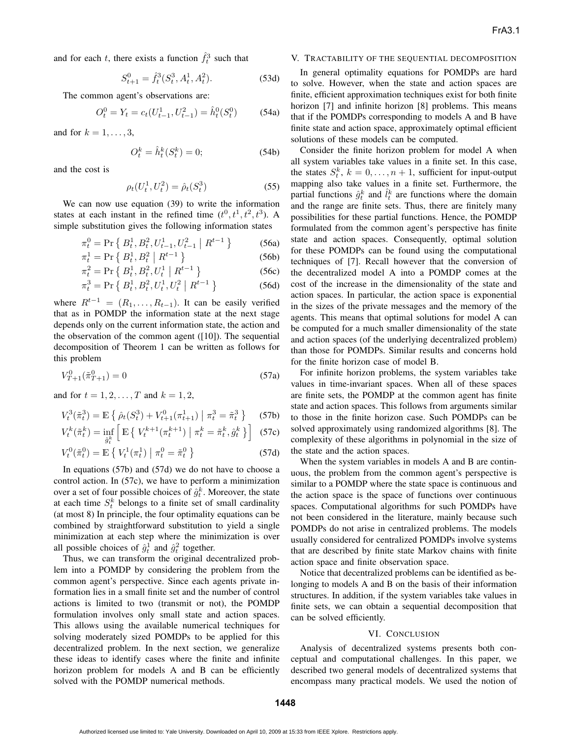and for each t, there exists a function  $\hat{f}_t^3$  such that

$$
S_{t+1}^0 = \hat{f}_t^3(S_t^3, A_t^1, A_t^2). \tag{53d}
$$

The common agent's observations are:

$$
O_t^0 = Y_t = c_t(U_{t-1}^1, U_{t-1}^2) = \hat{h}_t^0(S_t^0)
$$
 (54a)

and for  $k = 1, \ldots, 3$ ,

$$
O_t^k = \hat{h}_t^k(S_t^k) = 0; \tag{54b}
$$

and the cost is

$$
\rho_t(U_t^1, U_t^2) = \hat{\rho}_t(S_t^3)
$$
\n(55)

We can now use equation (39) to write the information states at each instant in the refined time  $(t^0, t^1, t^2, t^3)$ . A simple substitution gives the following information states

$$
\pi_t^0 = \Pr\left\{ B_t^1, B_t^2, U_{t-1}^1, U_{t-1}^2 \middle| R^{t-1} \right\} \tag{56a}
$$

$$
\pi_t^1 = \Pr\left\{ B_t^1, B_t^2 \mid R^{t-1} \right\} \tag{56b}
$$

$$
\pi_t^2 = \Pr\left\{ B_t^1, B_t^2, U_t^1 \mid R^{t-1} \right\} \tag{56c}
$$

$$
\pi_t^3 = \Pr\left\{ B_t^1, B_t^2, U_t^1, U_t^2 \mid R^{t-1} \right\}
$$
 (56d)

where  $R^{t-1} = (R_1, \ldots, R_{t-1})$ . It can be easily verified that as in POMDP the information state at the next stage depends only on the current information state, the action and the observation of the common agent ([10]). The sequential decomposition of Theorem 1 can be written as follows for this problem

$$
V_{T+1}^{0}(\tilde{\pi}_{T+1}^{0}) = 0 \tag{57a}
$$

and for  $t = 1, 2, ..., T$  and  $k = 1, 2,$ 

$$
V_t^3(\tilde{\pi}_t^3) = \mathbb{E}\left\{\hat{\rho}_t(S_t^3) + V_{t+1}^0(\pi_{t+1}^1) \mid \pi_t^3 = \tilde{\pi}_t^3\right\} \tag{57b}
$$

$$
V_t^k(\tilde{\pi}_t^k) = \inf_{\hat{g}_t^k} \left[ \mathbb{E} \left\{ V_t^{k+1}(\pi_t^{k+1}) \mid \pi_t^k = \tilde{\pi}_t^k, \hat{g}_t^k \right\} \right] \tag{57c}
$$

$$
V_t^0(\tilde{\pi}_t^0) = \mathbb{E}\left\{ V_t^1(\pi_t^1) \mid \pi_t^0 = \tilde{\pi}_t^0 \right\}
$$
 (57d)

In equations (57b) and (57d) we do not have to choose a control action. In (57c), we have to perform a minimization over a set of four possible choices of  $\hat{g}_t^k$ . Moreover, the state at each time  $S_t^k$  belongs to a finite set of small cardinality (at most 8) In principle, the four optimality equations can be combined by straightforward substitution to yield a single minimization at each step where the minimization is over all possible choices of  $\hat{g}_t^1$  and  $\hat{g}_t^2$  together.

Thus, we can transform the original decentralized problem into a POMDP by considering the problem from the common agent's perspective. Since each agents private information lies in a small finite set and the number of control actions is limited to two (transmit or not), the POMDP formulation involves only small state and action spaces. This allows using the available numerical techniques for solving moderately sized POMDPs to be applied for this decentralized problem. In the next section, we generalize these ideas to identify cases where the finite and infinite horizon problem for models A and B can be efficiently solved with the POMDP numerical methods.

#### V. TRACTABILITY OF THE SEQUENTIAL DECOMPOSITION

In general optimality equations for POMDPs are hard to solve. However, when the state and action spaces are finite, efficient approximation techniques exist for both finite horizon [7] and infinite horizon [8] problems. This means that if the POMDPs corresponding to models A and B have finite state and action space, approximately optimal efficient solutions of these models can be computed.

Consider the finite horizon problem for model A when all system variables take values in a finite set. In this case, the states  $S_t^k$ ,  $k = 0, \ldots, n + 1$ , sufficient for input-output mapping also take values in a finite set. Furthermore, the partial functions  $\hat{g}_t^k$  and  $\hat{l}_t^k$  are functions where the domain and the range are finite sets. Thus, there are finitely many possibilities for these partial functions. Hence, the POMDP formulated from the common agent's perspective has finite state and action spaces. Consequently, optimal solution for these POMDPs can be found using the computational techniques of [7]. Recall however that the conversion of the decentralized model A into a POMDP comes at the cost of the increase in the dimensionality of the state and action spaces. In particular, the action space is exponential in the sizes of the private messages and the memory of the agents. This means that optimal solutions for model A can be computed for a much smaller dimensionality of the state and action spaces (of the underlying decentralized problem) than those for POMDPs. Similar results and concerns hold for the finite horizon case of model B.

For infinite horizon problems, the system variables take values in time-invariant spaces. When all of these spaces are finite sets, the POMDP at the common agent has finite state and action spaces. This follows from arguments similar to those in the finite horizon case. Such POMDPs can be solved approximately using randomized algorithms [8]. The complexity of these algorithms in polynomial in the size of the state and the action spaces.

When the system variables in models A and B are continuous, the problem from the common agent's perspective is similar to a POMDP where the state space is continuous and the action space is the space of functions over continuous spaces. Computational algorithms for such POMDPs have not been considered in the literature, mainly because such POMDPs do not arise in centralized problems. The models usually considered for centralized POMDPs involve systems that are described by finite state Markov chains with finite action space and finite observation space.

Notice that decentralized problems can be identified as belonging to models A and B on the basis of their information structures. In addition, if the system variables take values in finite sets, we can obtain a sequential decomposition that can be solved efficiently.

#### VI. CONCLUSION

Analysis of decentralized systems presents both conceptual and computational challenges. In this paper, we described two general models of decentralized systems that encompass many practical models. We used the notion of